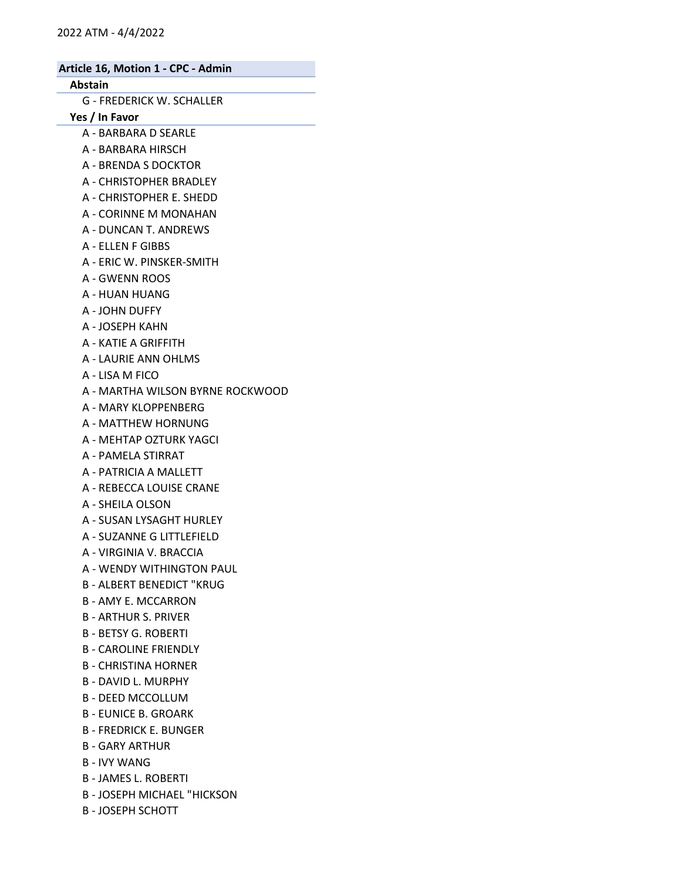## Abstain

G - FREDERICK W. SCHALLER

Yes / In Favor

- A BARBARA D SEARLE
- A BARBARA HIRSCH
- A BRENDA S DOCKTOR
- A CHRISTOPHER BRADLEY
- A CHRISTOPHER E. SHEDD
- A CORINNE M MONAHAN
- A DUNCAN T. ANDREWS
- A ELLEN F GIBBS
- A ERIC W. PINSKER-SMITH
- A GWENN ROOS
- A HUAN HUANG
- A JOHN DUFFY
- A JOSEPH KAHN
- A KATIE A GRIFFITH
- A LAURIE ANN OHLMS
- A LISA M FICO
- A MARTHA WILSON BYRNE ROCKWOOD
- A MARY KLOPPENBERG
- A MATTHEW HORNUNG
- A MEHTAP OZTURK YAGCI
- A PAMELA STIRRAT
- A PATRICIA A MALLETT
- A REBECCA LOUISE CRANE
- A SHEILA OLSON
- A SUSAN LYSAGHT HURLEY
- A SUZANNE G LITTLEFIELD
- A VIRGINIA V. BRACCIA
- A WENDY WITHINGTON PAUL
- B ALBERT BENEDICT "KRUG
- B AMY E. MCCARRON
- B ARTHUR S. PRIVER
- B BETSY G. ROBERTI
- B CAROLINE FRIENDLY
- B CHRISTINA HORNER
- B DAVID L. MURPHY
- B DEED MCCOLLUM
- B EUNICE B. GROARK
- B FREDRICK E. BUNGER
- B GARY ARTHUR
- B IVY WANG
- B JAMES L. ROBERTI
- B JOSEPH MICHAEL "HICKSON
- B JOSEPH SCHOTT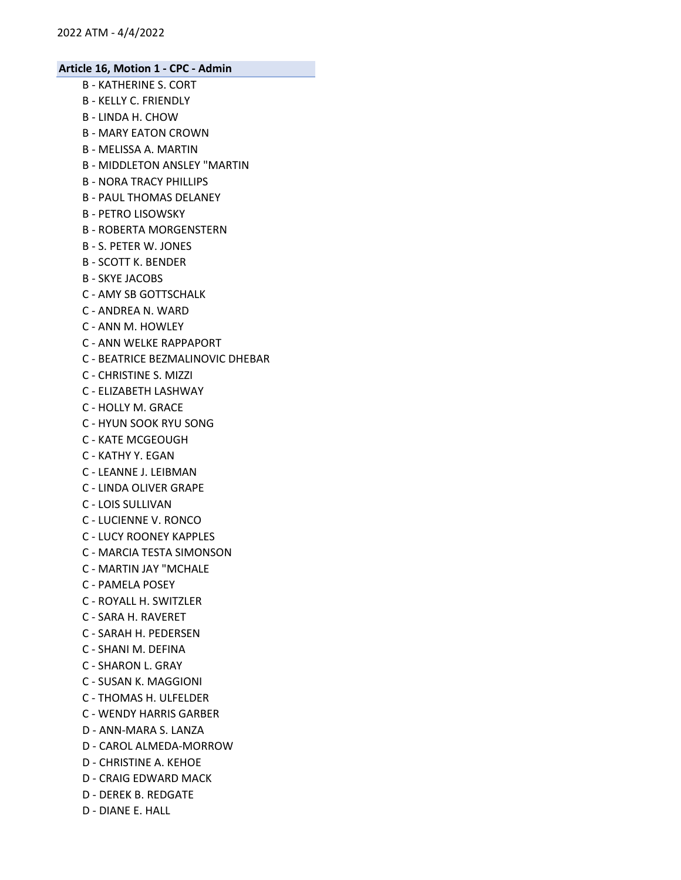- B KATHERINE S. CORT
- B KELLY C. FRIENDLY
- B LINDA H. CHOW
- B MARY EATON CROWN
- B MELISSA A. MARTIN
- B MIDDLETON ANSLEY "MARTIN
- B NORA TRACY PHILLIPS
- B PAUL THOMAS DELANEY
- B PETRO LISOWSKY
- B ROBERTA MORGENSTERN
- B S. PETER W. JONES
- B SCOTT K. BENDER
- B SKYE JACOBS
- C AMY SB GOTTSCHALK
- C ANDREA N. WARD
- C ANN M. HOWLEY
- C ANN WELKE RAPPAPORT
- C BEATRICE BEZMALINOVIC DHEBAR
- C CHRISTINE S. MIZZI
- C ELIZABETH LASHWAY
- C HOLLY M. GRACE
- C HYUN SOOK RYU SONG
- C KATE MCGEOUGH
- C KATHY Y. EGAN
- C LEANNE J. LEIBMAN
- C LINDA OLIVER GRAPE
- C LOIS SULLIVAN
- C LUCIENNE V. RONCO
- C LUCY ROONEY KAPPLES
- C MARCIA TESTA SIMONSON
- C MARTIN JAY "MCHALE
- C PAMELA POSEY
- C ROYALL H. SWITZLER
- C SARA H. RAVERET
- C SARAH H. PEDERSEN
- C SHANI M. DEFINA
- C SHARON L. GRAY
- C SUSAN K. MAGGIONI
- C THOMAS H. ULFELDER
- C WENDY HARRIS GARBER
- D ANN-MARA S. LANZA
- D CAROL ALMEDA-MORROW
- D CHRISTINE A. KEHOE
- D CRAIG EDWARD MACK
- D DEREK B. REDGATE
- D DIANE E. HALL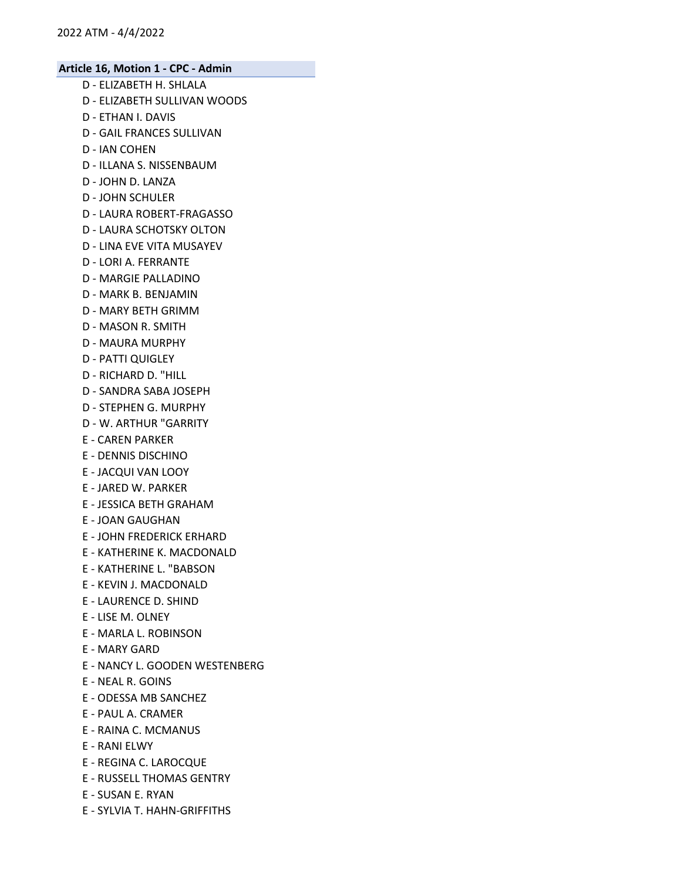- D ELIZABETH H. SHLALA D - ELIZABETH SULLIVAN WOODS D - ETHAN I. DAVIS D - GAIL FRANCES SULLIVAN D - IAN COHEN D - ILLANA S. NISSENBAUM D - JOHN D. LANZA D - JOHN SCHULER D - LAURA ROBERT-FRAGASSO D - LAURA SCHOTSKY OLTON D - LINA EVE VITA MUSAYEV D - LORI A. FERRANTE D - MARGIE PALLADINO D - MARK B. BENJAMIN D - MARY BETH GRIMM D - MASON R. SMITH D - MAURA MURPHY D - PATTI QUIGLEY D - RICHARD D. "HILL D - SANDRA SABA JOSEPH D - STEPHEN G. MURPHY D - W. ARTHUR "GARRITY E - CAREN PARKER E - DENNIS DISCHINO E - JACQUI VAN LOOY E - JARED W. PARKER E - JESSICA BETH GRAHAM E - JOAN GAUGHAN E - JOHN FREDERICK ERHARD E - KATHERINE K. MACDONALD E - KATHERINE L. "BABSON E - KEVIN J. MACDONALD E - LAURENCE D. SHIND E - LISE M. OLNEY E - MARLA L. ROBINSON E - MARY GARD E - NANCY L. GOODEN WESTENBERG E - NEAL R. GOINS E - ODESSA MB SANCHEZ E - PAUL A. CRAMER E - RAINA C. MCMANUS E - RANI ELWY E - REGINA C. LAROCQUE E - RUSSELL THOMAS GENTRY
- E SUSAN E. RYAN
- E SYLVIA T. HAHN-GRIFFITHS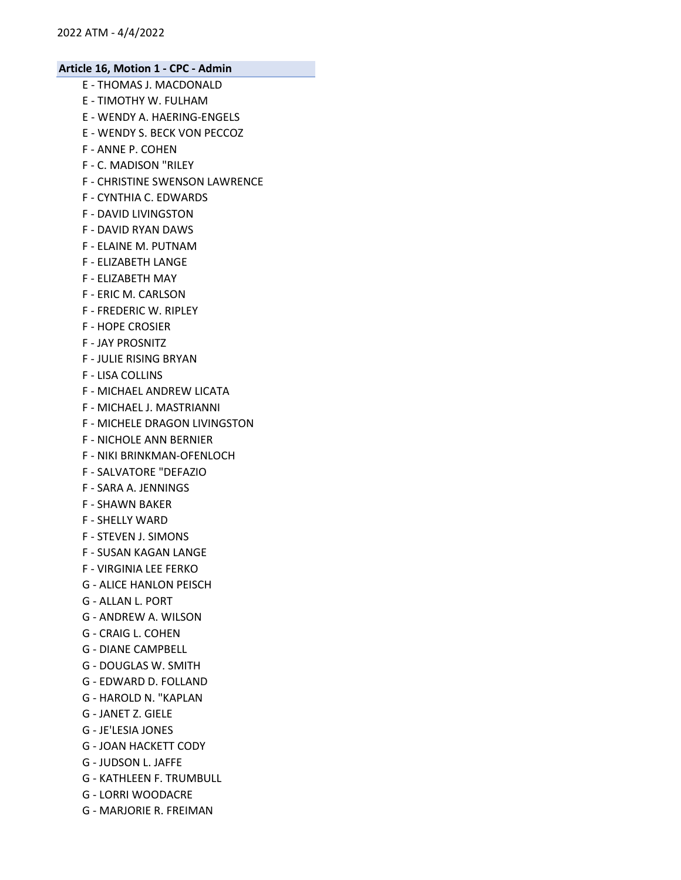- E THOMAS J. MACDONALD
- E TIMOTHY W. FULHAM
- E WENDY A. HAERING-ENGELS
- E WENDY S. BECK VON PECCOZ
- F ANNE P. COHEN
- F C. MADISON "RILEY
- F CHRISTINE SWENSON LAWRENCE
- F CYNTHIA C. EDWARDS
- F DAVID LIVINGSTON
- F DAVID RYAN DAWS
- F ELAINE M. PUTNAM
- F ELIZABETH LANGE
- F ELIZABETH MAY
- F ERIC M. CARLSON
- F FREDERIC W. RIPLEY
- F HOPE CROSIER
- F JAY PROSNITZ
- F JULIE RISING BRYAN
- F LISA COLLINS
- F MICHAEL ANDREW LICATA
- F MICHAEL J. MASTRIANNI
- F MICHELE DRAGON LIVINGSTON
- F NICHOLE ANN BERNIER
- F NIKI BRINKMAN-OFENLOCH
- F SALVATORE "DEFAZIO
- F SARA A. JENNINGS
- F SHAWN BAKER
- F SHELLY WARD
- F STEVEN J. SIMONS
- F SUSAN KAGAN LANGE
- F VIRGINIA LEE FERKO
- G ALICE HANLON PEISCH
- G ALLAN L. PORT
- G ANDREW A. WILSON
- G CRAIG L. COHEN
- G DIANE CAMPBELL
- G DOUGLAS W. SMITH
- G EDWARD D. FOLLAND
- G HAROLD N. "KAPLAN
- G JANET Z. GIELE
- G JE'LESIA JONES
- G JOAN HACKETT CODY
- G JUDSON L. JAFFE
- G KATHLEEN F. TRUMBULL
- G LORRI WOODACRE
- G MARJORIE R. FREIMAN